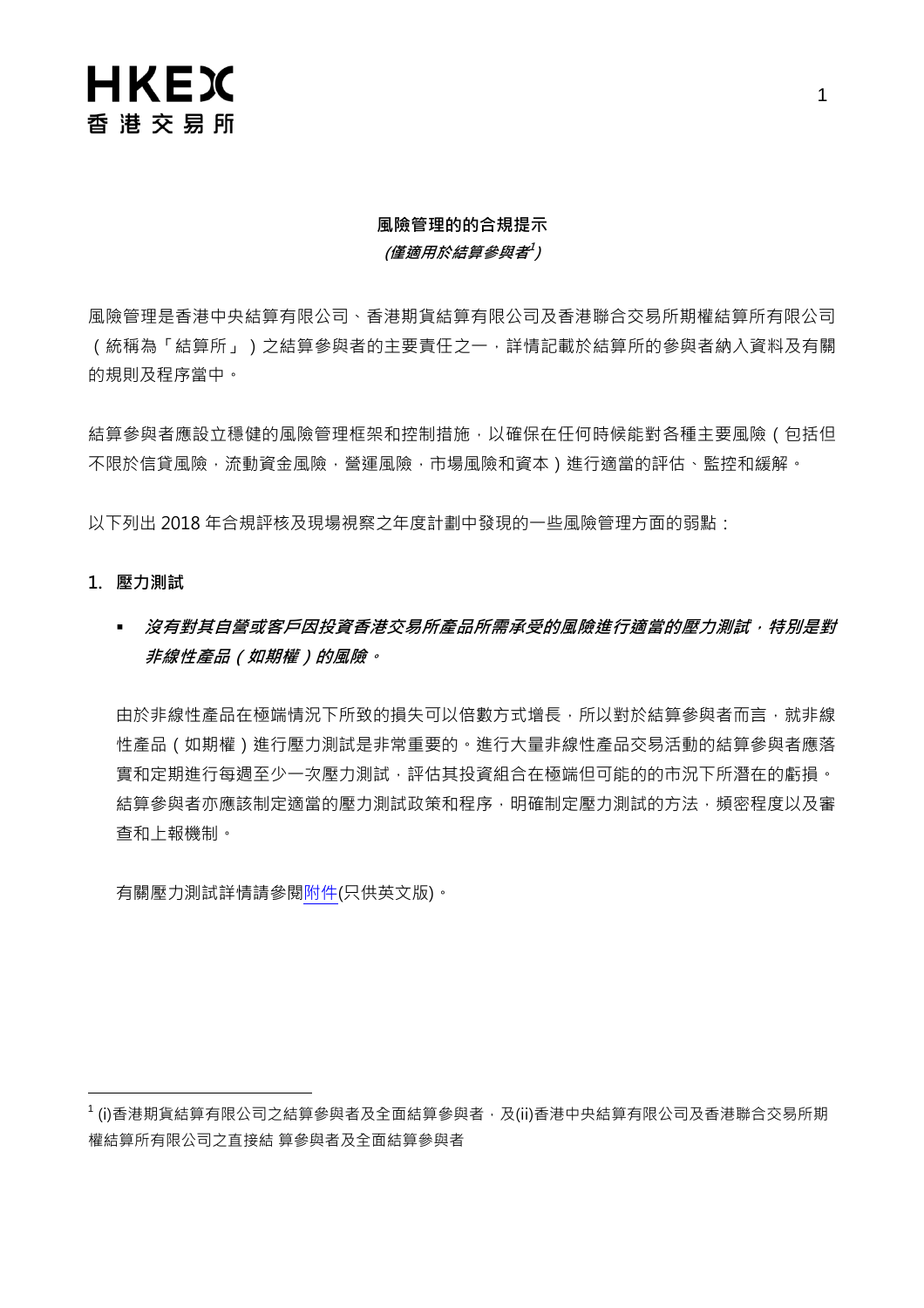# **HKEX** 香港交易所

## 風險管理的的合規提示 (僅適用於結算參與者<sup>]</sup>)

風險管理是香港中央結算有限公司、香港期貨結算有限公司及香港聯合交易所期權結算所有限公司 (統稱為「結算所」)之結算參與者的主要責任之一,詳情記載於結算所的參與者納入資料及有關 的規則及程序當中。

結算參與者應設立穩健的風險管理框架和控制措施,以確保在任何時候能對各種主要風險(包括但 不限於信貸風險,流動資金風險,營運風險,市場風險和資本)進行適當的評估、監控和緩解。

以下列出 2018 年合規評核及現場視察之年度計劃中發現的一些風險管理方面的弱點:

- 1. 壓力測試
	- 沒有對其自營或客戶因投資香港交易所產品所需承受的風險進行適當的壓力測試,特別是對 非線性產品(如期權)的風險。

由於非線性產品在極端情況下所致的損失可以倍數方式增長,所以對於結算參與者而言,就非線 性產品(如期權)進行壓力測試是非常重要的。進行大量非線性產品交易活動的結算參與者應落 實和定期進行每週至少一次壓力測試,評估其投資組合在極端但可能的的市況下所潛在的虧損。 結算參與者亦應該制定適當的壓力測試政策和程序,明確制定壓力測試的方法,頻密程度以及審 查和上報機制。

有關壓力測試詳情請參[閱附件\(](https://www.hkex.com.hk/-/media/HKEX-Market/Services/Rules-and-Forms-and-Fees/Rules/Rule-Enforcement/2018-Programme/Annex_Stress-Testing-on-Options.pdf?la=enhttps://www.hkex.com.hk/-/media/HKEX-Market/Services/Rules-and-Forms-and-Fees/Rules/Rule-Enforcement/2018-Programme/Annex_Stress-Testing-on-Options.pdf?la=en)只供英文版)。

<sup>&</sup>lt;sup>1</sup> (i)香港期貨結算有限公司之結算參與者及全面結算參與者,及(ii)香港中央結算有限公司及香港聯合交易所期 權結算所有限公司之直接結 算參與者及全面結算參與者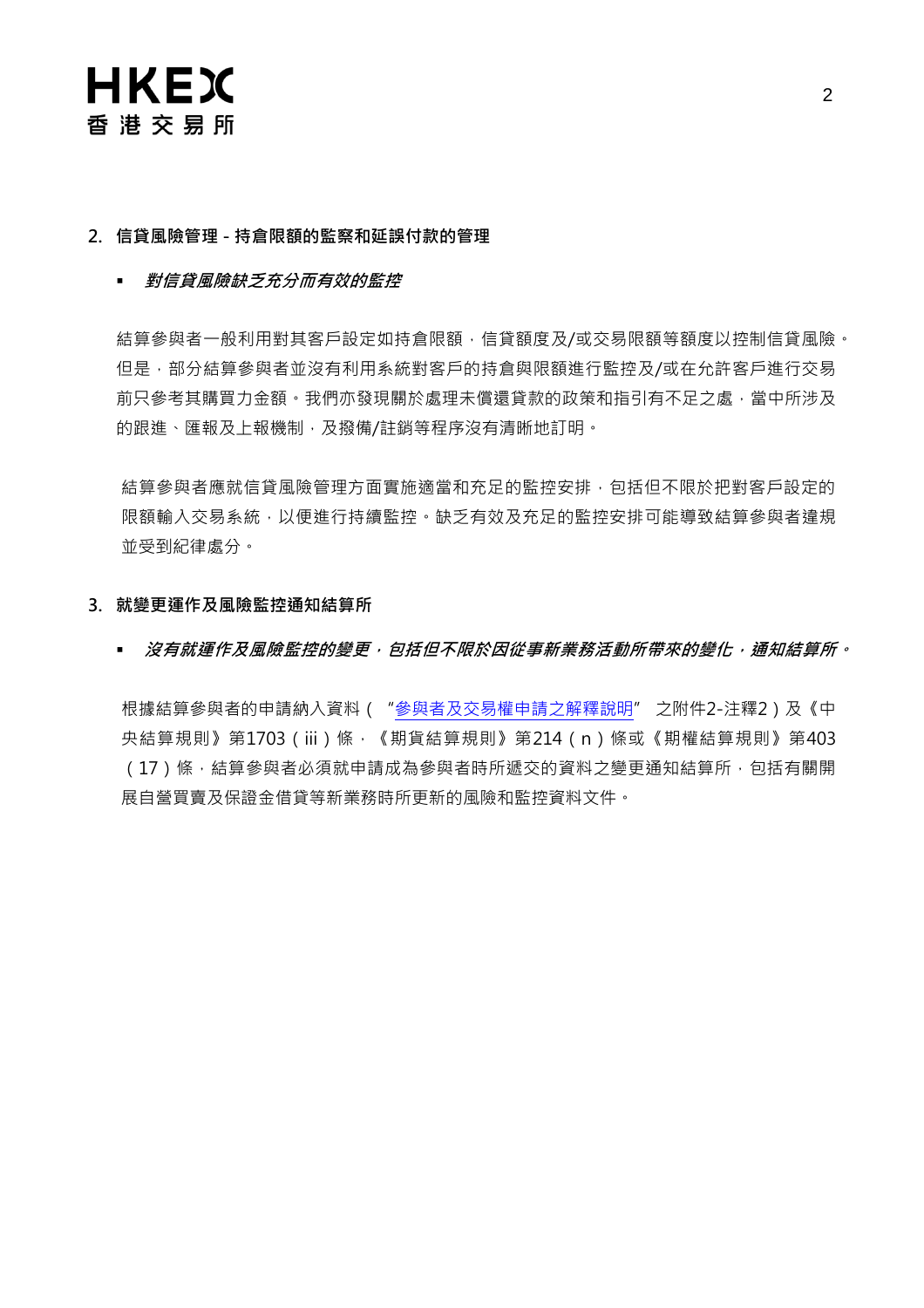

### 2. 信貸風險管理 - 持倉限額的監察和延誤付款的管理

### • 對信貸風險缺乏充分而有效的監控

結算參與者一般利用對其客戶設定如持倉限額,信貸額度及/或交易限額等額度以控制信貸風險。 但是,部分結算參與者並沒有利用系統對客戶的持倉與限額進行監控及/或在允許客戶進行交易 前只參考其購買力金額。我們亦發現關於處理未償還貸款的政策和指引有不足之處,當中所涉及 的跟進、匯報及上報機制,及撥備/註銷等程序沒有清晰地訂明。

結算參與者應就信貸風險管理方面實施適當和充足的監控安排,包括但不限於把對客戶設定的 限額輸入交易系統,以便進行持續監控。缺乏有效及充足的監控安排可能導致結算參與者違規 並受到紀律處分。

### 3. 就變更運作及風險監控通知結算所

### ■ 沒有就運作及風險監控的變更,包括但不限於因從事新業務活動所帶來的變化,通知結算所。

根據結算參與者的申請納入資料( ["參與者及交易權申請之解釋說明"](https://www.hkex.com.hk/-/media/HKEX-Market/Services/Rules-and-Forms-and-Fees/Forms/Securities-(Hong-Kong)/Trading/Participantship/Participantship---Admission/EN1.pdf?la=en) 之附件2-注釋2)及《中 央結算規則》第1703 (iii)條,《期貨結算規則》第214 (n)條或《期權結算規則》第403 (17)條,結算參與者必須就申請成為參與者時所遞交的資料之變更通知結算所,包括有關開 展自營買賣及保證金借貸等新業務時所更新的風險和監控資料文件。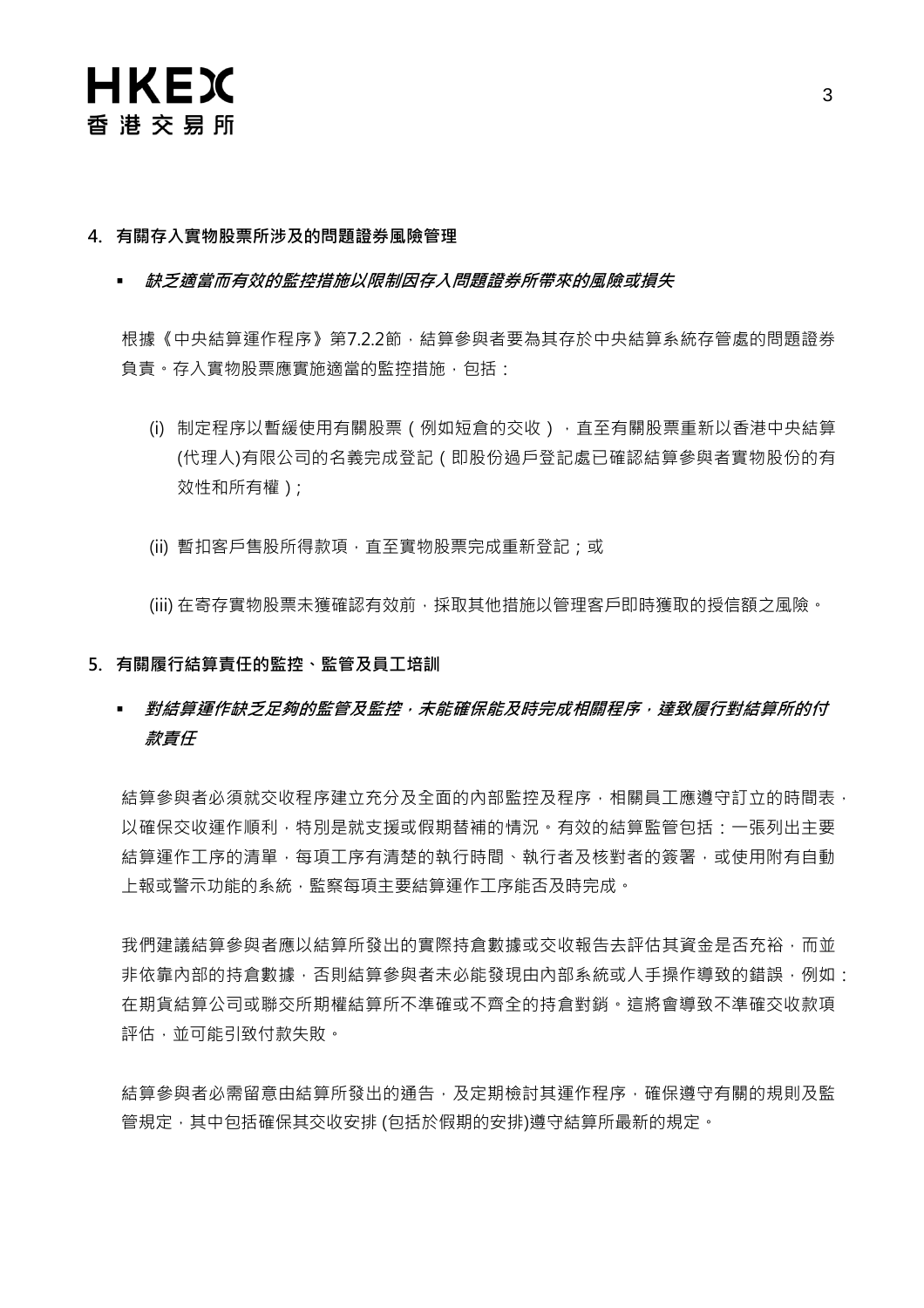### 4. 有關存入實物股票所涉及的問題證券風險管理

■ 缺乏適當而有效的監控措施以限制因存入問題證券所帶來的風險或損失

根據《中央結算運作程序》第7.2.2節,結算參與者要為其存於中央結算系統存管處的問題證券 負責。存入實物股票應實施適當的監控措施,包括:

- (i) 制定程序以暫緩使用有關股票(例如短倉的交收),直至有關股票重新以香港中央結算 (代理人)有限公司的名義完成登記(即股份過戶登記處已確認結算參與者實物股份的有 效性和所有權);
- (ii) 暫扣客戶售股所得款項, 直至實物股票完成重新登記; 或

(iii) 在寄存實物股票未獲確認有效前,採取其他措施以管理客戶即時獲取的授信額之風險。

### 5. 有關履行結算責任的監控、監管及員工培訓

 對結算運作缺乏足夠的監管及監控,未能確保能及時完成相關程序,達致履行對結算所的付 款責任

結算參與者必須就交收程序建立充分及全面的內部監控及程序,相關員工應遵守訂立的時間表, 以確保交收運作順利,特別是就支援或假期替補的情況。有效的結算監管包括:一張列出主要 結算運作工序的清單,每項工序有清楚的執行時間、執行者及核對者的簽署,或使用附有自動 上報或警示功能的系統,監察每項主要結算運作工序能否及時完成。

我們建議結算參與者應以結算所發出的實際持倉數據或交收報告去評估其資金是否充裕,而並 非依靠內部的持倉數據,否則結算參與者未必能發現由內部系統或人手操作導致的錯誤,例如: 在期貨結算公司或聯交所期權結算所不準確或不齊全的持倉對銷。這將會導致不準確交收款項 評估,並可能引致付款失敗。

結算參與者必需留意由結算所發出的通告,及定期檢討其運作程序,確保遵守有關的規則及監 管規定,其中包括確保其交收安排 (包括於假期的安排)遵守結算所最新的規定。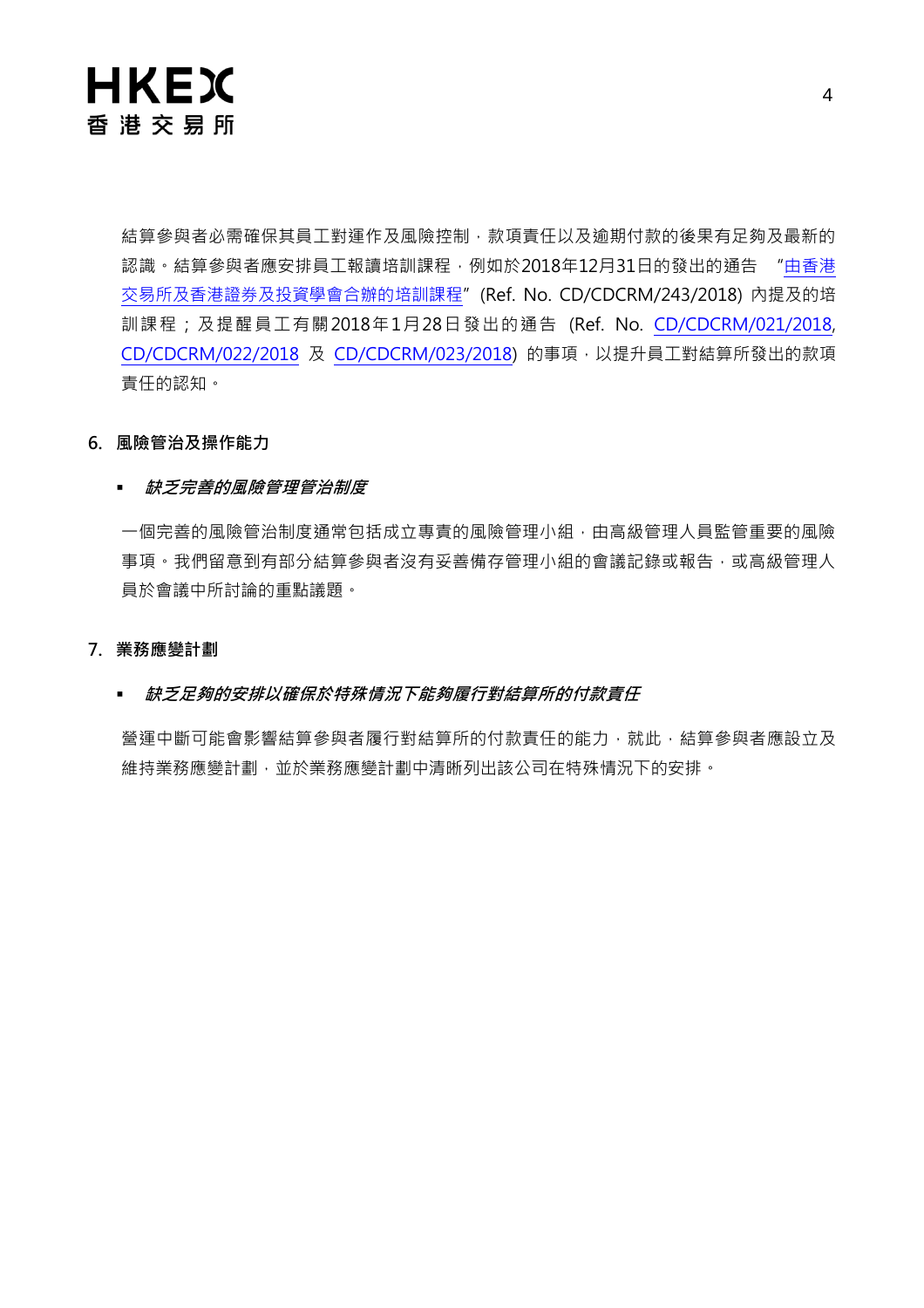

結算參與者必需確保其員工對運作及風險控制,款項責任以及逾期付款的後果有足夠及最新的 認識。結算參與者應安排員工報讀培訓課程,例如於2018年12月31日的發出的通告 ["由香港](https://www.hkex.com.hk/-/media/HKEX-Market/Services/Circulars-and-Notices/Participant-and-Members-Circulars/HKCC/2018/Circular_Training_chi_final_20181231.pdf) [交易所及香港證券及投資學會合辦的培訓課程"](https://www.hkex.com.hk/-/media/HKEX-Market/Services/Circulars-and-Notices/Participant-and-Members-Circulars/HKCC/2018/Circular_Training_chi_final_20181231.pdf)(Ref. No. CD/CDCRM/243/2018) 內提及的培 訓課程;及提醒員工有關2018年1月28日發出的通告 (Ref. No. [CD/CDCRM/021/2018,](https://www.hkex.com.hk/-/media/HKEX-Market/Services/Circulars-and-Notices/Participant-and-Members-Circulars/HKSCC/2018/cc021_cdcrm_2018.pdf) [CD/CDCRM/022/2018](https://www.hkex.com.hk/-/media/HKEX-Market/Services/Circulars-and-Notices/Participant-and-Members-Circulars/HKCC/2018/HKCC-circular_chinese_vFinal.pdf) 及 [CD/CDCRM/023/2018\)](https://www.hkex.com.hk/-/media/HKEX-Market/Services/Circulars-and-Notices/Participant-and-Members-Circulars/SEOCH/2018/SEOCH-circular_chinese_vFinal.pdf) 的事項,以提升員工對結算所發出的款項 責任的認知。

### 6. 風險管治及操作能力

### 缺乏完善的風險管理管治制度

一個完善的風險管治制度通常的広立專責的風險管理小組,由高級管理人員監管重要的風險 事項。我們留意到有部分結算參與者沒有妥善備存管理小組的會議記錄或報告,或高級管理人 員於會議中所討論的重點議題。

### 7. 業務應變計劃

### 缺乏足夠的安排以確保於特殊情況下能夠履行對結算所的付款責任

營運中斷可能會影響結算參與者履行對結算所的付款責任的能力,就此,結算參與者應設立及 維持業務應變計劃,並於業務應變計劃中清晰列出該公司在特殊情況下的安排。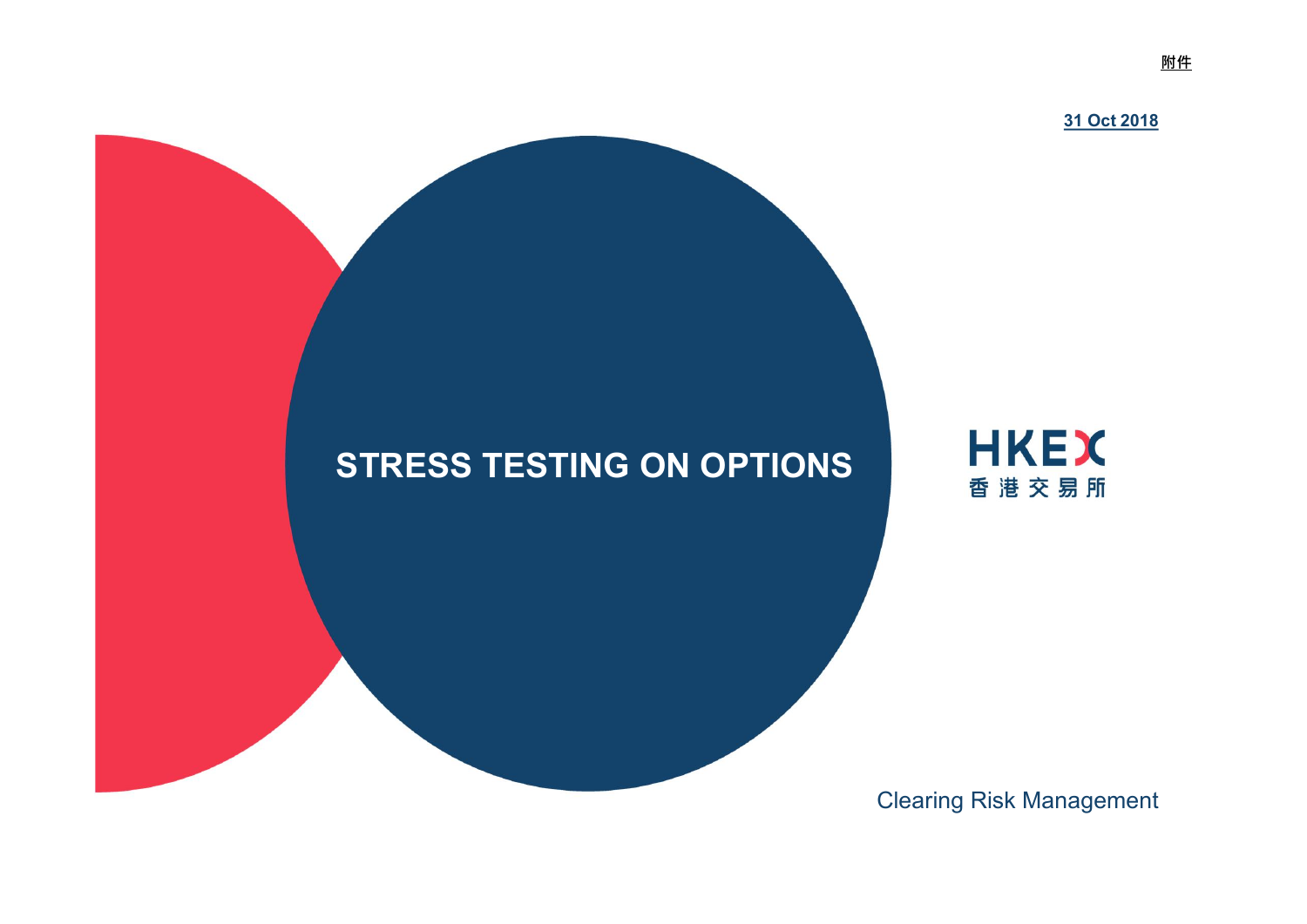

Clearing Risk Management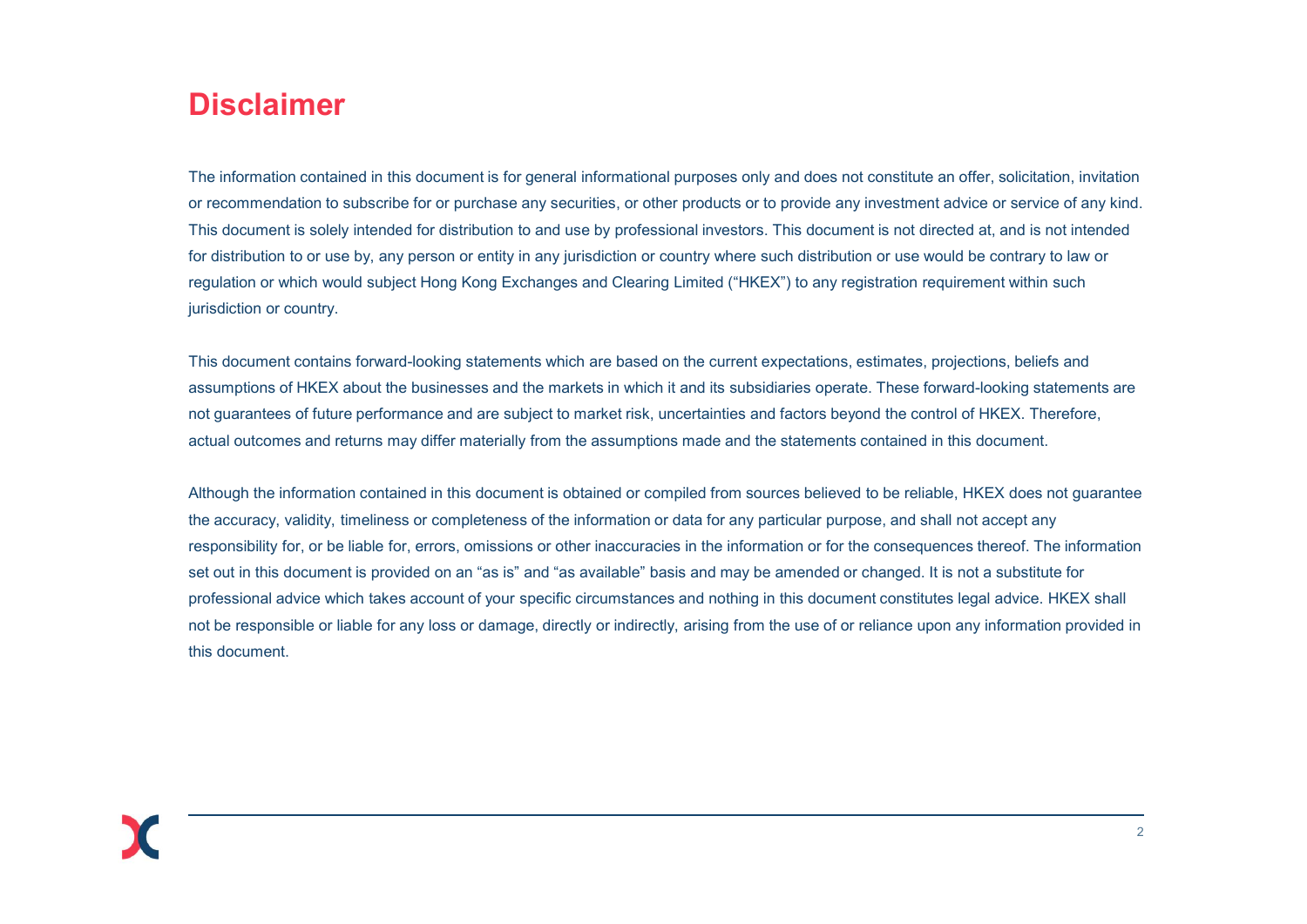# **Disclaimer**

The information contained in this document is for general informational purposes only and does not constitute an offer, solicitation, invitation or recommendation to subscribe for or purchase any securities, or other products or to provide any investment advice or service of any kind. **Disclaimer**<br>The information contained in this document is for general informational purposes only and does not constitute an offer, solicitation, invitation<br>or recommendation to subscribe for or purchase any securities, o for distribution to or use by, any person or entity in any jurisdiction or country where such distribution or use would be contrary to law or regulation or which would subject Hong Kong Exchanges and Clearing Limited ("HKEX") to any registration requirement within such jurisdiction or country.

This document contains forward-looking statements which are based on the current expectations, estimates, projections, beliefs and assumptions of HKEX about the businesses and the markets in which it and its subsidiaries operate. These forward-looking statements are not guarantees of future performance and are subject to market risk, uncertainties and factors beyond the control of HKEX. Therefore, actual outcomes and returns may differ materially from the assumptions made and the statements contained in this document.

Although the information contained in this document is obtained or compiled from sources believed to be reliable, HKEX does not guarantee the accuracy, validity, timeliness or completeness of the information or data for any particular purpose, and shall not accept any responsibility for, or be liable for, errors, omissions or other inaccuracies in the information or for the consequences thereof. The information set out in this document is provided on an "as is" and "as available" basis and may be amended or changed. It is not a substitute for or recommendation to subscribe for or purchase any securities, or other products or to provide any investment advice or service of any kind.<br>This document is solely intended for distribution to and use by professional inve not be responsible or liable for any loss or damage, directly or indirectly, arising from the use of or reliance upon any information provided in this document.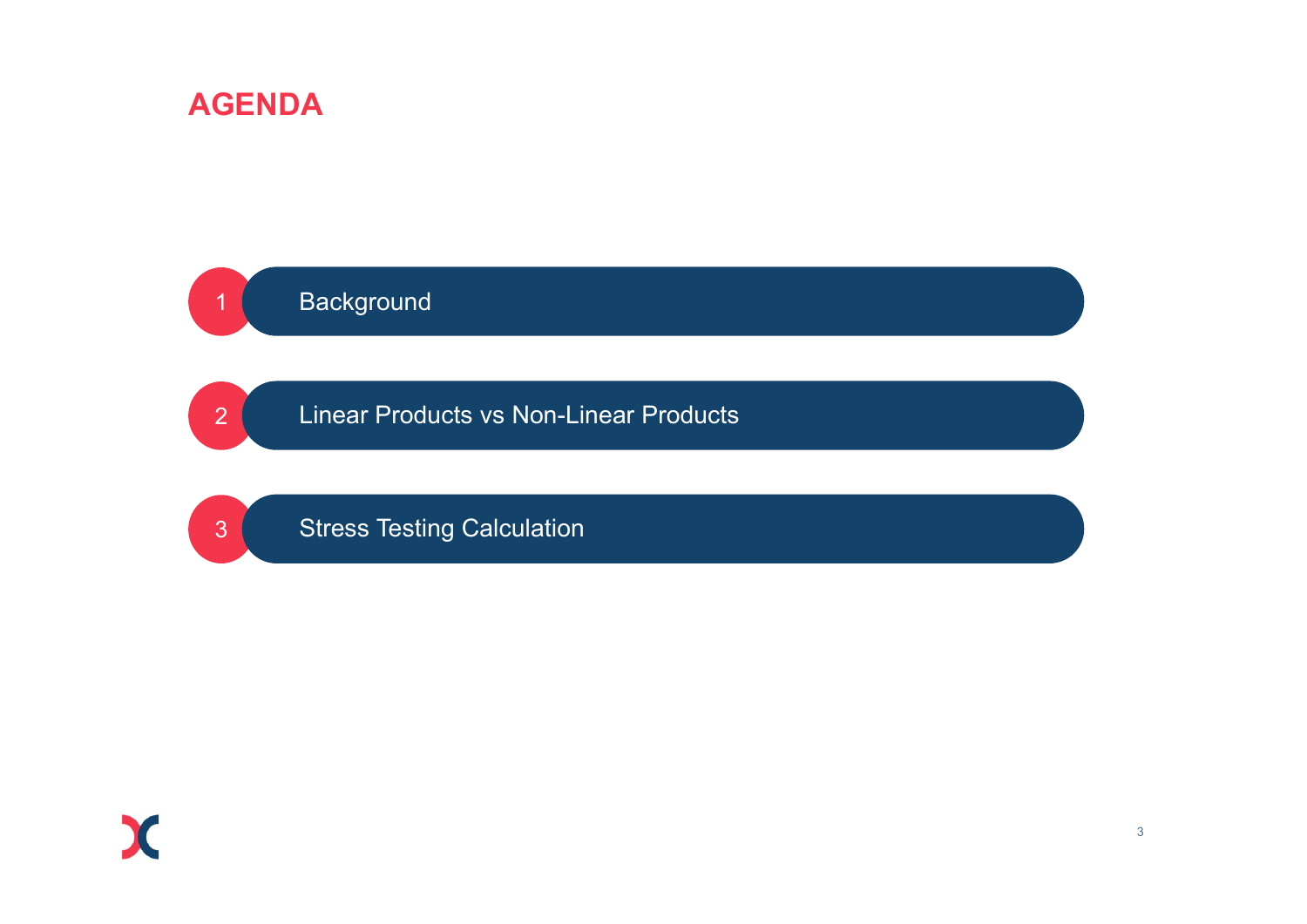# AGENDA



Linear Products vs Non-Linear Products



Stress Testing Calculation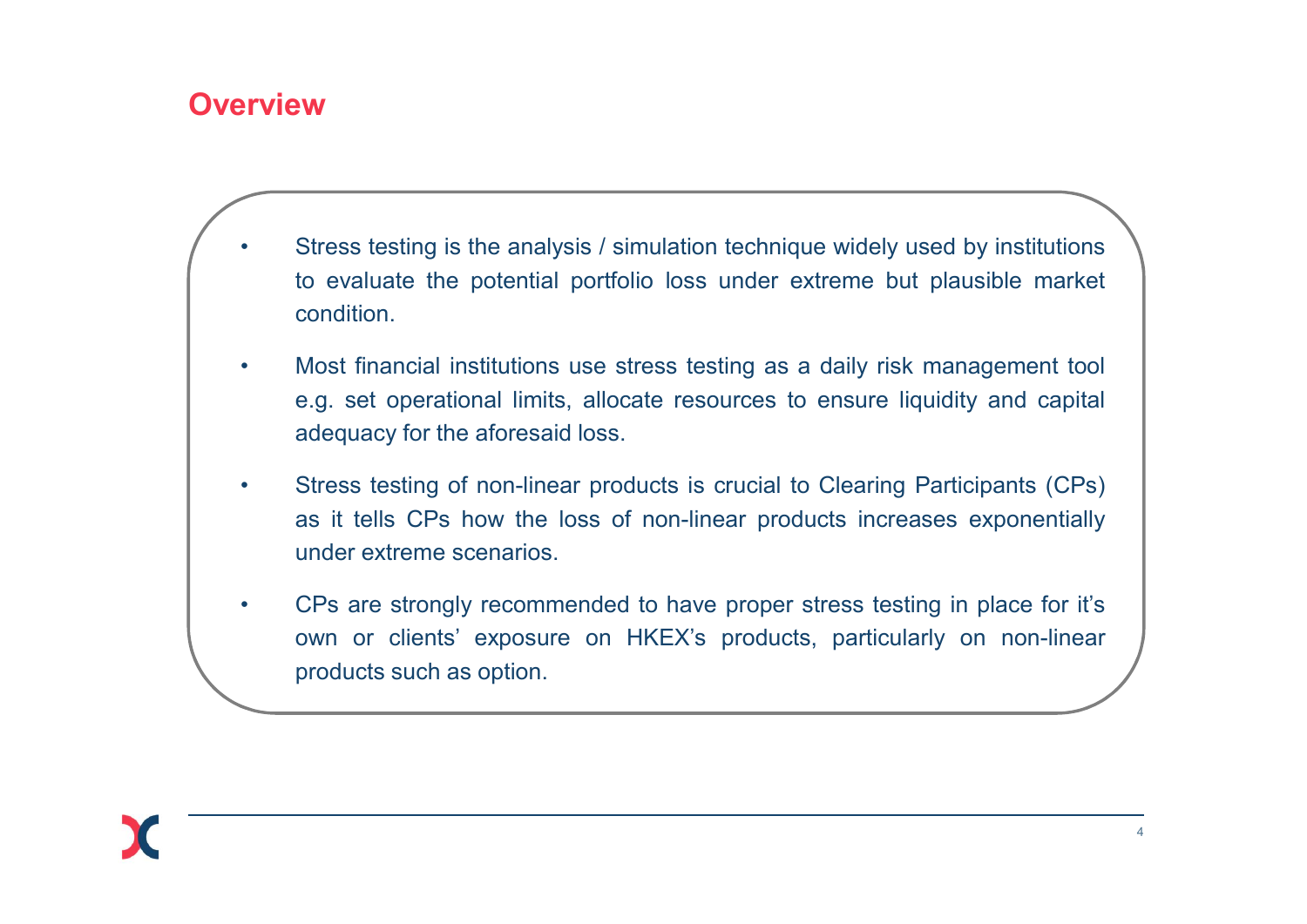# **Overview**

- Stress testing is the analysis / simulation technique widely used by institutions to evaluate the potential portfolio loss under extreme but plausible market condition. **Example 18 Stress testing is the analysis / simulation technique widely used by institutions**<br>to evaluate the potential portfolio loss under extreme but plausible market<br>condition.<br>Most financial institutions use stress t condition. • Stress testing is the analysis / simulation technique widely used by institutions to evaluate the potential portfolio loss under extreme but plausible market condition.<br>• Most financial institutions use stress testing as Examples is the analysis / simulation technique widely used by institutions<br>to evaluate the potential portfolio loss under extreme but plausible market<br>condition.<br>Most financial institutions use stress testing as a daily r **Example 15 Stress testing is the analysis / simulation technique widely used by institution**<br>to evaluate the potential portfolio loss under extreme but plausible mark<br>condition.<br>Most financial institutions use stress test • Stress testing is the analysis / simulation technique widely used by institutions<br>to evaluate the potential portfolio loss under extreme but plausible market<br>condition.<br>Most financial institutions use stress testing as a Stress testing is the analysis / simulation technique widely used by institutions<br>to evaluate the potential portfolio loss under extreme but plausible market<br>condition.<br>Most financial institutions use stress testing as a d Stress testing is the analysis / simulation technique widely used<br>to evaluate the potential portfolio loss under extreme but pla<br>condition.<br>Most financial institutions use stress testing as a daily risk mar<br>e.g. set operat
- 
- 
- Stress testing is the analysis / simulation technique widely used by institutions<br>to evaluate the potential portfolio loss under extreme but plausible market<br>condition.<br>Most financial institutions use stress testing as a Stress testing is the analysis / simulation technique widely used by institutions<br>to evaluate the potential portfolio loss under extreme but plausible market<br>condition.<br>Most financial institutions use stress testing as a d to evaluate the potential portfolio loss under extreme but plaus condition.<br>
Most financial institutions use stress testing as a daily risk manage.g. set operational limits, allocate resources to ensure liquidity<br>
adequacy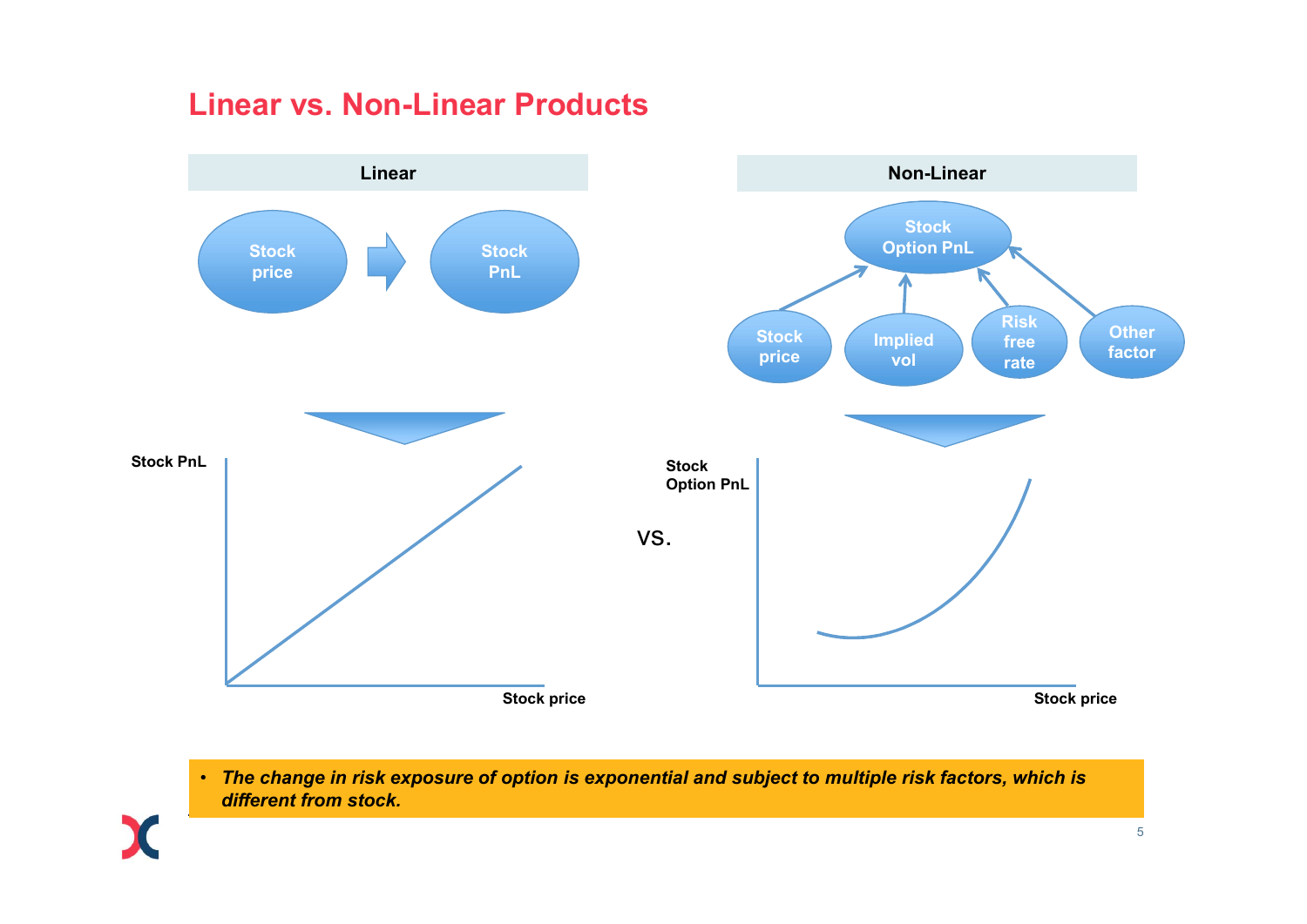# Linear vs. Non-Linear Products



• The change in risk exposure of option is exponential and subject to multiple risk factors, which is different from stock.

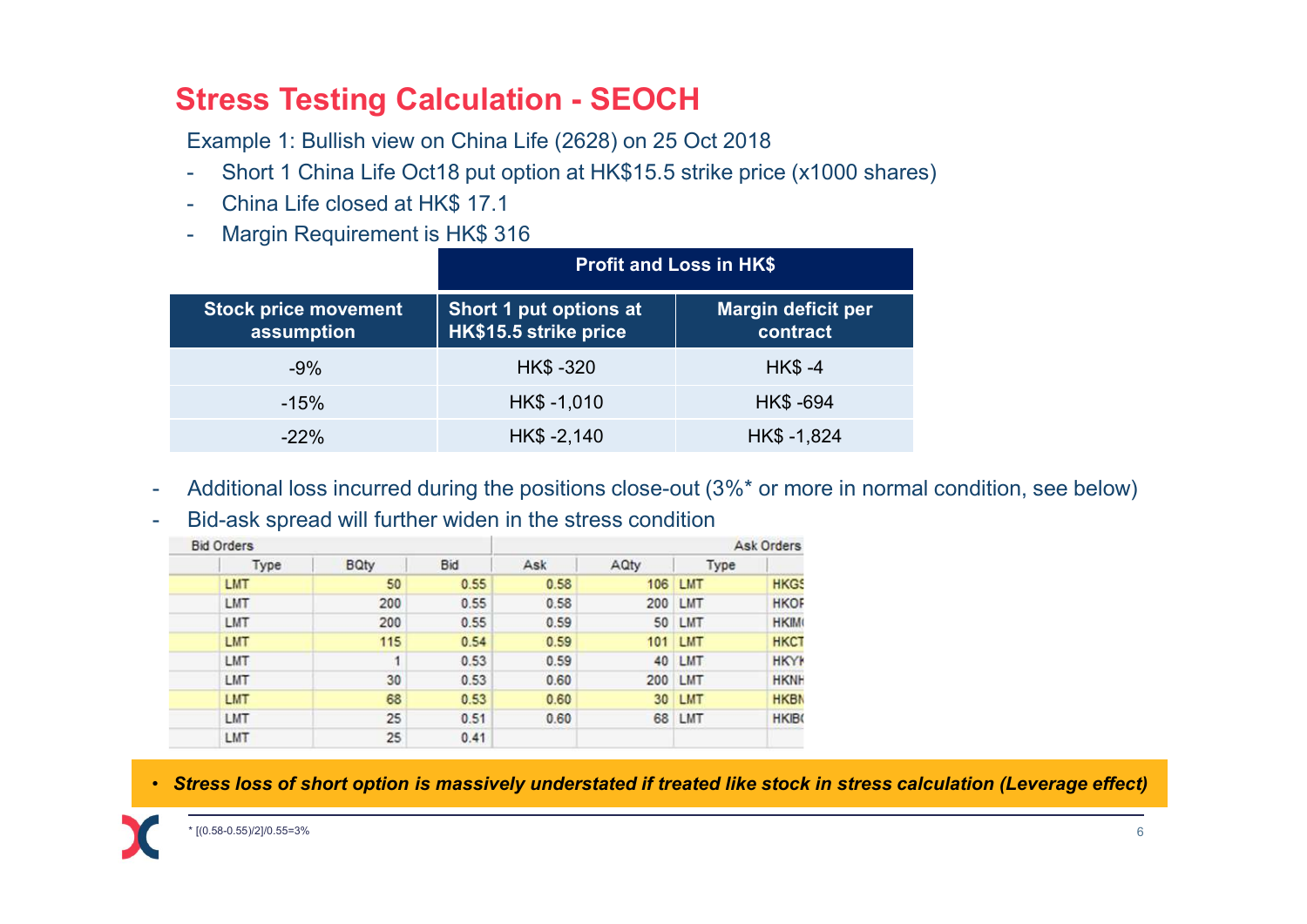- **Stress Testing Calculation SEOCH**<br>Example 1: Bullish view on China Life (2628) on 25 Oct 2018<br>- Short 1 China Life Oct18 put option at HK\$15.5 strike price (x1000 shares)<br>- China Life closed at HK\$ 17 1
- 
- 

|                                                                                                      | <b>Stress Testing Calculation - SEOCH</b>                                                                     |              |                                                 |                    |                                       |  |  |  |  |
|------------------------------------------------------------------------------------------------------|---------------------------------------------------------------------------------------------------------------|--------------|-------------------------------------------------|--------------------|---------------------------------------|--|--|--|--|
|                                                                                                      |                                                                                                               |              |                                                 |                    |                                       |  |  |  |  |
|                                                                                                      |                                                                                                               |              |                                                 |                    |                                       |  |  |  |  |
|                                                                                                      |                                                                                                               |              |                                                 |                    |                                       |  |  |  |  |
|                                                                                                      | Example 1: Bullish view on China Life (2628) on 25 Oct 2018                                                   |              |                                                 |                    |                                       |  |  |  |  |
| ۰<br>÷                                                                                               | Short 1 China Life Oct18 put option at HK\$15.5 strike price (x1000 shares)<br>China Life closed at HK\$ 17.1 |              |                                                 |                    |                                       |  |  |  |  |
| ۰                                                                                                    | Margin Requirement is HK\$ 316                                                                                |              |                                                 |                    |                                       |  |  |  |  |
|                                                                                                      | <b>Profit and Loss in HK\$</b>                                                                                |              |                                                 |                    |                                       |  |  |  |  |
|                                                                                                      | <b>Stock price movement</b><br>assumption                                                                     |              | Short 1 put options at<br>HK\$15.5 strike price |                    | <b>Margin deficit per</b><br>contract |  |  |  |  |
| $-9%$                                                                                                | HK\$ -320                                                                                                     |              |                                                 | <b>HK\$-4</b>      |                                       |  |  |  |  |
| $-15%$                                                                                               |                                                                                                               | HK\$-1,010   |                                                 |                    | HK\$ -694                             |  |  |  |  |
| $-22%$                                                                                               |                                                                                                               | $HK$ -2,140$ |                                                 |                    | HK\$-1,824                            |  |  |  |  |
|                                                                                                      |                                                                                                               |              |                                                 |                    |                                       |  |  |  |  |
|                                                                                                      |                                                                                                               |              |                                                 |                    |                                       |  |  |  |  |
| Additional loss incurred during the positions close-out (3%* or more in normal condition, see below) |                                                                                                               |              |                                                 |                    |                                       |  |  |  |  |
| Bid-ask spread will further widen in the stress condition                                            |                                                                                                               |              |                                                 |                    |                                       |  |  |  |  |
| <b>Bid Orders</b>                                                                                    | <b>BQty</b>                                                                                                   | Bid          | Ask                                             | AQty               | Ask Orders<br>Type                    |  |  |  |  |
| Type<br>LMT<br>LMT                                                                                   | 50                                                                                                            | 0.55<br>0.55 | 0.58<br>0.58                                    | 106 LMT<br>200 LMT | <b>HKGS</b><br><b>HKOF</b>            |  |  |  |  |

| <b>Ask Orders</b> |         |      |      | <b>Bid Orders</b> |             |      |  |  |
|-------------------|---------|------|------|-------------------|-------------|------|--|--|
|                   | Type    | AQty | Ask  | Bid               | <b>BQty</b> | Type |  |  |
| <b>HKGS</b>       | 106 LMT |      | 0.58 | 0.55              | 50          | LMT  |  |  |
| <b>HKOF</b>       | 200 LMT |      | 0.58 | 0.55              | 200         | LMT  |  |  |
| <b>HKIM</b>       | 50 LMT  |      | 0.59 | 0.55              | 200         | LMT  |  |  |
| <b>HKCT</b>       | 101 LMT |      | 0.59 | 0.54              | 115         | LMT  |  |  |
| <b>HKYK</b>       | 40 LMT  |      | 0.59 | 0.53              | 1           | LMT  |  |  |
| <b>HKNH</b>       | 200 LMT |      | 0.60 | 0.53              | 30          | LMT  |  |  |
| <b>HKBN</b>       | 30 LMT  |      | 0.60 | 0.53              | 68          | LMT  |  |  |
| <b>HKIB</b>       | 68 LMT  |      | 0.60 | 0.51              | 25          | LMT  |  |  |
|                   |         |      |      | 0.41              | 25          | LMT  |  |  |

• Stress loss of short option is massively understated if treated like stock in stress calculation (Leverage effect)